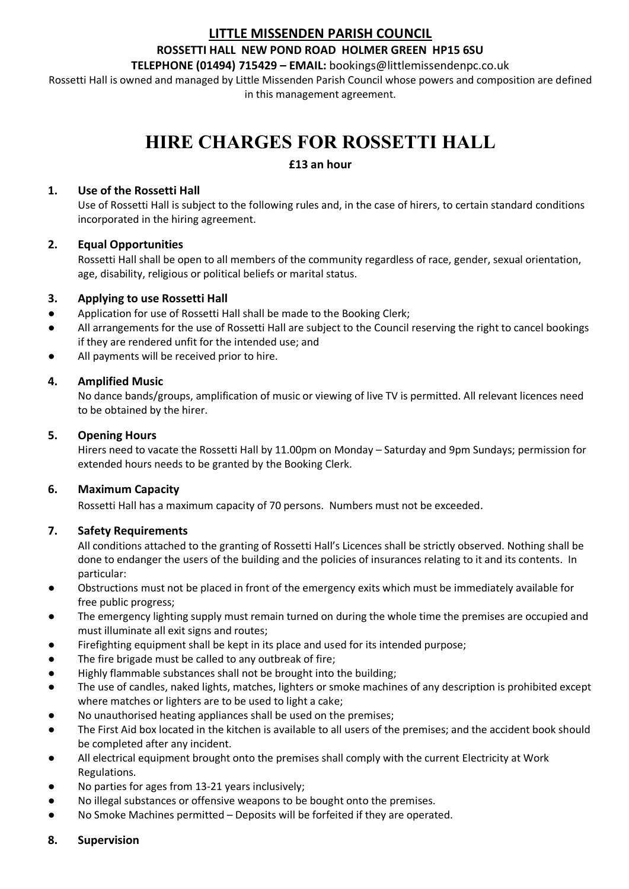# **LITTLE MISSENDEN PARISH COUNCIL**

## **ROSSETTI HALL NEW POND ROAD HOLMER GREEN HP15 6SU**

**TELEPHONE (01494) 715429 – EMAIL:** bookings@littlemissendenpc.co.uk

Rossetti Hall is owned and managed by Little Missenden Parish Council whose powers and composition are defined in this management agreement.

# **HIRE CHARGES FOR ROSSETTI HALL**

# **£13 an hour**

## **1. Use of the Rossetti Hall**

Use of Rossetti Hall is subject to the following rules and, in the case of hirers, to certain standard conditions incorporated in the hiring agreement.

# **2. Equal Opportunities**

Rossetti Hall shall be open to all members of the community regardless of race, gender, sexual orientation, age, disability, religious or political beliefs or marital status.

# **3. Applying to use Rossetti Hall**

- Application for use of Rossetti Hall shall be made to the Booking Clerk;
- All arrangements for the use of Rossetti Hall are subject to the Council reserving the right to cancel bookings if they are rendered unfit for the intended use; and
- All payments will be received prior to hire.

# **4. Amplified Music**

No dance bands/groups, amplification of music or viewing of live TV is permitted. All relevant licences need to be obtained by the hirer.

# **5. Opening Hours**

Hirers need to vacate the Rossetti Hall by 11.00pm on Monday – Saturday and 9pm Sundays; permission for extended hours needs to be granted by the Booking Clerk.

# **6. Maximum Capacity**

Rossetti Hall has a maximum capacity of 70 persons. Numbers must not be exceeded.

# **7. Safety Requirements**

All conditions attached to the granting of Rossetti Hall's Licences shall be strictly observed. Nothing shall be done to endanger the users of the building and the policies of insurances relating to it and its contents. In particular:

- Obstructions must not be placed in front of the emergency exits which must be immediately available for free public progress;
- The emergency lighting supply must remain turned on during the whole time the premises are occupied and must illuminate all exit signs and routes;
- Firefighting equipment shall be kept in its place and used for its intended purpose;
- The fire brigade must be called to any outbreak of fire;
- Highly flammable substances shall not be brought into the building;
- The use of candles, naked lights, matches, lighters or smoke machines of any description is prohibited except where matches or lighters are to be used to light a cake;
- No unauthorised heating appliances shall be used on the premises;
- The First Aid box located in the kitchen is available to all users of the premises; and the accident book should be completed after any incident.
- All electrical equipment brought onto the premises shall comply with the current Electricity at Work Regulations.
- No parties for ages from 13-21 years inclusively;
- No illegal substances or offensive weapons to be bought onto the premises.
- No Smoke Machines permitted Deposits will be forfeited if they are operated.
- **8. Supervision**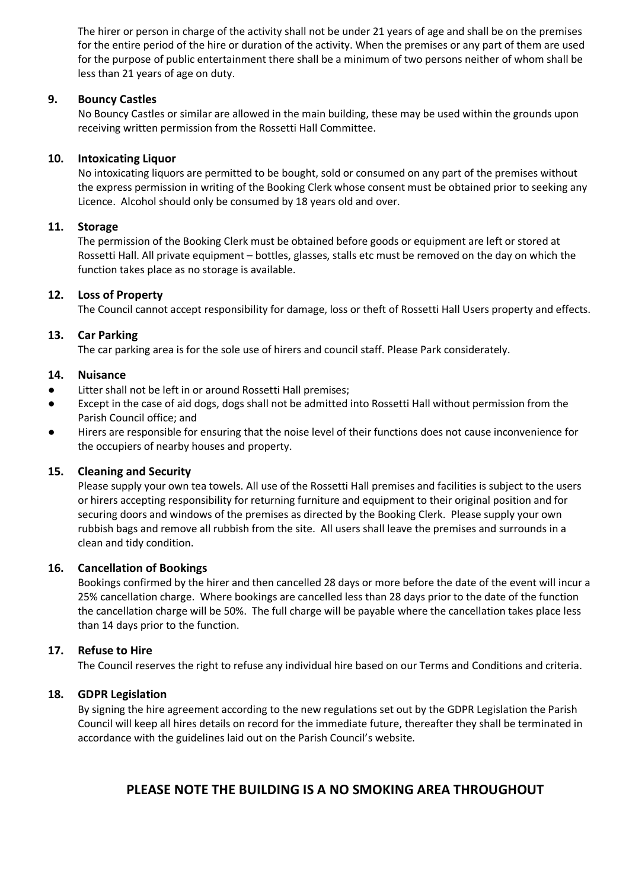The hirer or person in charge of the activity shall not be under 21 years of age and shall be on the premises for the entire period of the hire or duration of the activity. When the premises or any part of them are used for the purpose of public entertainment there shall be a minimum of two persons neither of whom shall be less than 21 years of age on duty.

#### **9. Bouncy Castles**

No Bouncy Castles or similar are allowed in the main building, these may be used within the grounds upon receiving written permission from the Rossetti Hall Committee.

#### **10. Intoxicating Liquor**

No intoxicating liquors are permitted to be bought, sold or consumed on any part of the premises without the express permission in writing of the Booking Clerk whose consent must be obtained prior to seeking any Licence. Alcohol should only be consumed by 18 years old and over.

#### **11. Storage**

The permission of the Booking Clerk must be obtained before goods or equipment are left or stored at Rossetti Hall. All private equipment – bottles, glasses, stalls etc must be removed on the day on which the function takes place as no storage is available.

#### **12. Loss of Property**

The Council cannot accept responsibility for damage, loss or theft of Rossetti Hall Users property and effects.

#### **13. Car Parking**

The car parking area is for the sole use of hirers and council staff. Please Park considerately.

#### **14. Nuisance**

- Litter shall not be left in or around Rossetti Hall premises;
- Except in the case of aid dogs, dogs shall not be admitted into Rossetti Hall without permission from the Parish Council office; and
- Hirers are responsible for ensuring that the noise level of their functions does not cause inconvenience for the occupiers of nearby houses and property.

#### **15. Cleaning and Security**

Please supply your own tea towels. All use of the Rossetti Hall premises and facilities is subject to the users or hirers accepting responsibility for returning furniture and equipment to their original position and for securing doors and windows of the premises as directed by the Booking Clerk. Please supply your own rubbish bags and remove all rubbish from the site. All users shall leave the premises and surrounds in a clean and tidy condition.

#### **16. Cancellation of Bookings**

Bookings confirmed by the hirer and then cancelled 28 days or more before the date of the event will incur a 25% cancellation charge. Where bookings are cancelled less than 28 days prior to the date of the function the cancellation charge will be 50%. The full charge will be payable where the cancellation takes place less than 14 days prior to the function.

#### **17. Refuse to Hire**

The Council reserves the right to refuse any individual hire based on our Terms and Conditions and criteria.

#### **18. GDPR Legislation**

By signing the hire agreement according to the new regulations set out by the GDPR Legislation the Parish Council will keep all hires details on record for the immediate future, thereafter they shall be terminated in accordance with the guidelines laid out on the Parish Council's website.

# **PLEASE NOTE THE BUILDING IS A NO SMOKING AREA THROUGHOUT**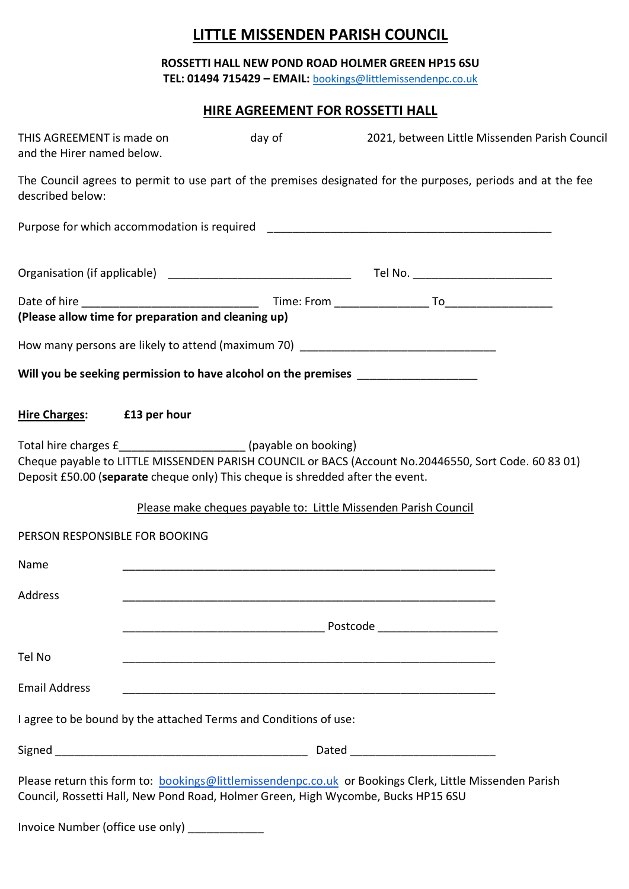# **LITTLE MISSENDEN PARISH COUNCIL**

**ROSSETTI HALL NEW POND ROAD HOLMER GREEN HP15 6SU TEL: 01494 715429 – EMAIL:** [bookings@littlemissendenpc.co.uk](mailto:bookings@littlemissendenpc.co.uk)

# **HIRE AGREEMENT FOR ROSSETTI HALL**

| THIS AGREEMENT is made on<br>and the Hirer named below.                                                                                           | day of | 2021, between Little Missenden Parish Council                                                                |
|---------------------------------------------------------------------------------------------------------------------------------------------------|--------|--------------------------------------------------------------------------------------------------------------|
| described below:                                                                                                                                  |        | The Council agrees to permit to use part of the premises designated for the purposes, periods and at the fee |
|                                                                                                                                                   |        |                                                                                                              |
|                                                                                                                                                   |        |                                                                                                              |
|                                                                                                                                                   |        |                                                                                                              |
| (Please allow time for preparation and cleaning up)                                                                                               |        |                                                                                                              |
|                                                                                                                                                   |        | How many persons are likely to attend (maximum 70) _____________________________                             |
| Will you be seeking permission to have alcohol on the premises _________________                                                                  |        |                                                                                                              |
| Hire Charges: E13 per hour                                                                                                                        |        |                                                                                                              |
| Total hire charges £_______________________(payable on booking)<br>Deposit £50.00 (separate cheque only) This cheque is shredded after the event. |        | Cheque payable to LITTLE MISSENDEN PARISH COUNCIL or BACS (Account No.20446550, Sort Code. 60 83 01)         |
|                                                                                                                                                   |        | Please make cheques payable to: Little Missenden Parish Council                                              |
| PERSON RESPONSIBLE FOR BOOKING                                                                                                                    |        |                                                                                                              |
| Name                                                                                                                                              |        |                                                                                                              |
| Address                                                                                                                                           |        |                                                                                                              |
|                                                                                                                                                   |        |                                                                                                              |
| Tel No                                                                                                                                            |        |                                                                                                              |
| <b>Email Address</b>                                                                                                                              |        |                                                                                                              |
| I agree to be bound by the attached Terms and Conditions of use:                                                                                  |        |                                                                                                              |
|                                                                                                                                                   |        |                                                                                                              |
| Council, Rossetti Hall, New Pond Road, Holmer Green, High Wycombe, Bucks HP15 6SU                                                                 |        | Please return this form to: bookings@littlemissendenpc.co.uk or Bookings Clerk, Little Missenden Parish      |
| Invoice Number (office use only) _______________                                                                                                  |        |                                                                                                              |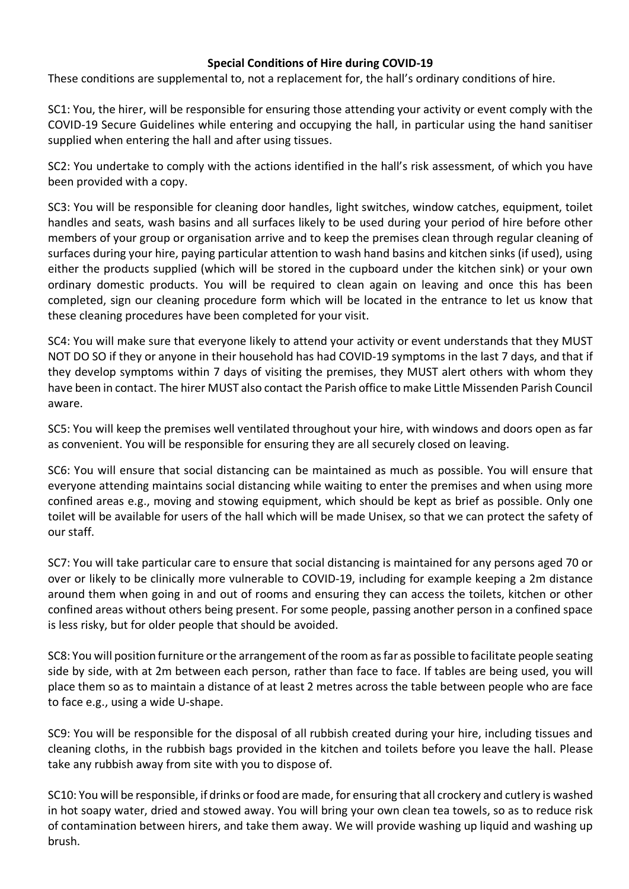# **Special Conditions of Hire during COVID-19**

These conditions are supplemental to, not a replacement for, the hall's ordinary conditions of hire.

SC1: You, the hirer, will be responsible for ensuring those attending your activity or event comply with the COVID-19 Secure Guidelines while entering and occupying the hall, in particular using the hand sanitiser supplied when entering the hall and after using tissues.

SC2: You undertake to comply with the actions identified in the hall's risk assessment, of which you have been provided with a copy.

SC3: You will be responsible for cleaning door handles, light switches, window catches, equipment, toilet handles and seats, wash basins and all surfaces likely to be used during your period of hire before other members of your group or organisation arrive and to keep the premises clean through regular cleaning of surfaces during your hire, paying particular attention to wash hand basins and kitchen sinks (if used), using either the products supplied (which will be stored in the cupboard under the kitchen sink) or your own ordinary domestic products. You will be required to clean again on leaving and once this has been completed, sign our cleaning procedure form which will be located in the entrance to let us know that these cleaning procedures have been completed for your visit.

SC4: You will make sure that everyone likely to attend your activity or event understands that they MUST NOT DO SO if they or anyone in their household has had COVID-19 symptoms in the last 7 days, and that if they develop symptoms within 7 days of visiting the premises, they MUST alert others with whom they have been in contact. The hirer MUST also contact the Parish office to make Little Missenden Parish Council aware.

SC5: You will keep the premises well ventilated throughout your hire, with windows and doors open as far as convenient. You will be responsible for ensuring they are all securely closed on leaving.

SC6: You will ensure that social distancing can be maintained as much as possible. You will ensure that everyone attending maintains social distancing while waiting to enter the premises and when using more confined areas e.g., moving and stowing equipment, which should be kept as brief as possible. Only one toilet will be available for users of the hall which will be made Unisex, so that we can protect the safety of our staff.

SC7: You will take particular care to ensure that social distancing is maintained for any persons aged 70 or over or likely to be clinically more vulnerable to COVID-19, including for example keeping a 2m distance around them when going in and out of rooms and ensuring they can access the toilets, kitchen or other confined areas without others being present. For some people, passing another person in a confined space is less risky, but for older people that should be avoided.

SC8: You will position furniture or the arrangement of the room as far as possible to facilitate people seating side by side, with at 2m between each person, rather than face to face. If tables are being used, you will place them so as to maintain a distance of at least 2 metres across the table between people who are face to face e.g., using a wide U-shape.

SC9: You will be responsible for the disposal of all rubbish created during your hire, including tissues and cleaning cloths, in the rubbish bags provided in the kitchen and toilets before you leave the hall. Please take any rubbish away from site with you to dispose of.

SC10: You will be responsible, if drinks or food are made, for ensuring that all crockery and cutlery is washed in hot soapy water, dried and stowed away. You will bring your own clean tea towels, so as to reduce risk of contamination between hirers, and take them away. We will provide washing up liquid and washing up brush.